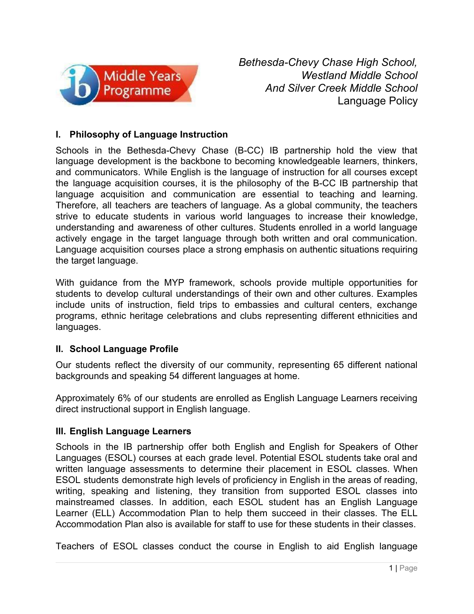

*Bethesda-Chevy Chase High School, Westland Middle School And Silver Creek Middle School* Language Policy

## **I. Philosophy of Language Instruction**

Schools in the Bethesda-Chevy Chase (B-CC) IB partnership hold the view that language development is the backbone to becoming knowledgeable learners, thinkers, and communicators. While English is the language of instruction for all courses except the language acquisition courses, it is the philosophy of the B-CC IB partnership that language acquisition and communication are essential to teaching and learning. Therefore, all teachers are teachers of language. As a global community, the teachers strive to educate students in various world languages to increase their knowledge, understanding and awareness of other cultures. Students enrolled in a world language actively engage in the target language through both written and oral communication. Language acquisition courses place a strong emphasis on authentic situations requiring the target language.

With guidance from the MYP framework, schools provide multiple opportunities for students to develop cultural understandings of their own and other cultures. Examples include units of instruction, field trips to embassies and cultural centers, exchange programs, ethnic heritage celebrations and clubs representing different ethnicities and languages.

## **II. School Language Profile**

Our students reflect the diversity of our community, representing 65 different national backgrounds and speaking 54 different languages at home.

Approximately 6% of our students are enrolled as English Language Learners receiving direct instructional support in English language.

## **III. English Language Learners**

Schools in the IB partnership offer both English and English for Speakers of Other Languages (ESOL) courses at each grade level. Potential ESOL students take oral and written language assessments to determine their placement in ESOL classes. When ESOL students demonstrate high levels of proficiency in English in the areas of reading, writing, speaking and listening, they transition from supported ESOL classes into mainstreamed classes. In addition, each ESOL student has an English Language Learner (ELL) Accommodation Plan to help them succeed in their classes. The ELL Accommodation Plan also is available for staff to use for these students in their classes.

Teachers of ESOL classes conduct the course in English to aid English language